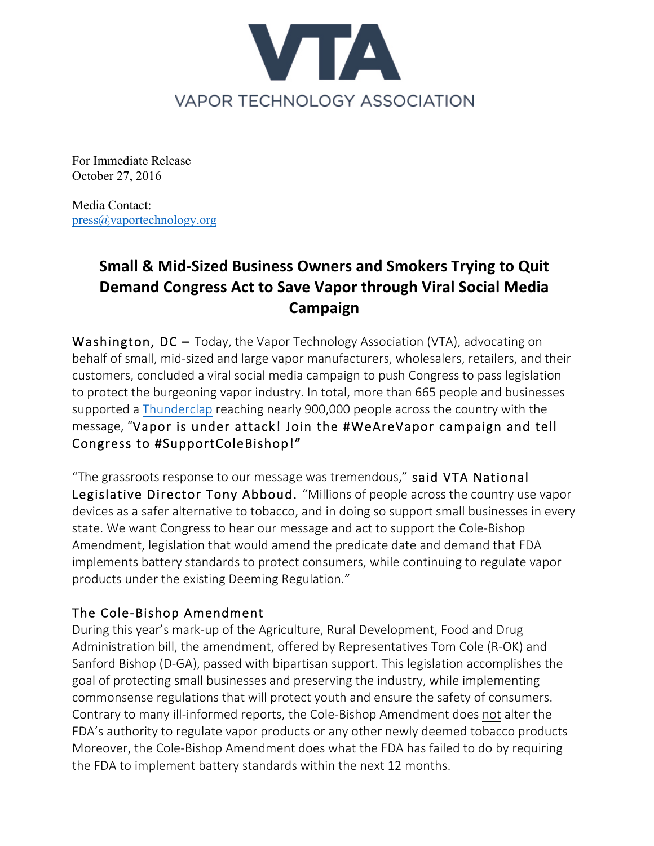

For Immediate Release October 27, 2016

Media Contact: press@vaportechnology.org

## **Small & Mid-Sized Business Owners and Smokers Trying to Quit Demand Congress Act to Save Vapor through Viral Social Media Campaign**

Washington, DC – Today, the Vapor Technology Association (VTA), advocating on behalf of small, mid-sized and large vapor manufacturers, wholesalers, retailers, and their customers, concluded a viral social media campaign to push Congress to pass legislation to protect the burgeoning vapor industry. In total, more than 665 people and businesses supported a Thunderclap reaching nearly 900,000 people across the country with the message, "Vapor is under attack! Join the #WeAreVapor campaign and tell Congress to #SupportColeBishop!"

"The grassroots response to our message was tremendous," said VTA National Legislative Director Tony Abboud. "Millions of people across the country use vapor devices as a safer alternative to tobacco, and in doing so support small businesses in every state. We want Congress to hear our message and act to support the Cole-Bishop Amendment, legislation that would amend the predicate date and demand that FDA implements battery standards to protect consumers, while continuing to regulate vapor products under the existing Deeming Regulation."

## The Cole-Bishop Amendment

During this year's mark-up of the Agriculture, Rural Development, Food and Drug Administration bill, the amendment, offered by Representatives Tom Cole (R-OK) and Sanford Bishop (D-GA), passed with bipartisan support. This legislation accomplishes the goal of protecting small businesses and preserving the industry, while implementing commonsense regulations that will protect youth and ensure the safety of consumers. Contrary to many ill-informed reports, the Cole-Bishop Amendment does not alter the FDA's authority to regulate vapor products or any other newly deemed tobacco products Moreover, the Cole-Bishop Amendment does what the FDA has failed to do by requiring the FDA to implement battery standards within the next 12 months.